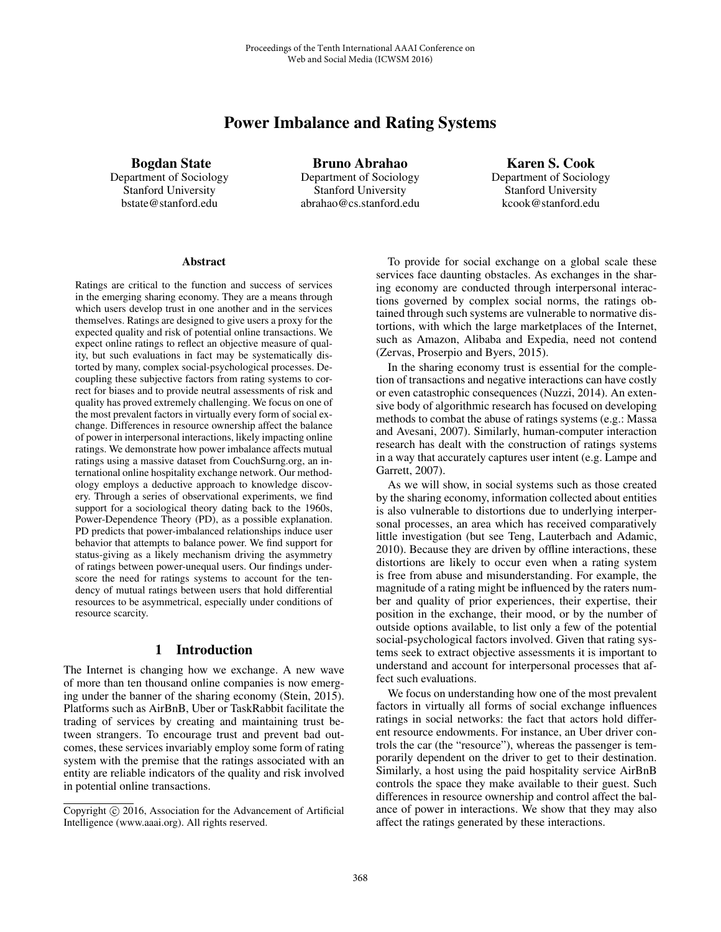# Power Imbalance and Rating Systems

Bogdan State

Department of Sociology Stanford University bstate@stanford.edu

Bruno Abrahao Department of Sociology Stanford University abrahao@cs.stanford.edu

Karen S. Cook Department of Sociology Stanford University kcook@stanford.edu

#### **Abstract**

Ratings are critical to the function and success of services in the emerging sharing economy. They are a means through which users develop trust in one another and in the services themselves. Ratings are designed to give users a proxy for the expected quality and risk of potential online transactions. We expect online ratings to reflect an objective measure of quality, but such evaluations in fact may be systematically distorted by many, complex social-psychological processes. Decoupling these subjective factors from rating systems to correct for biases and to provide neutral assessments of risk and quality has proved extremely challenging. We focus on one of the most prevalent factors in virtually every form of social exchange. Differences in resource ownership affect the balance of power in interpersonal interactions, likely impacting online ratings. We demonstrate how power imbalance affects mutual ratings using a massive dataset from CouchSurng.org, an international online hospitality exchange network. Our methodology employs a deductive approach to knowledge discovery. Through a series of observational experiments, we find support for a sociological theory dating back to the 1960s, Power-Dependence Theory (PD), as a possible explanation. PD predicts that power-imbalanced relationships induce user behavior that attempts to balance power. We find support for status-giving as a likely mechanism driving the asymmetry of ratings between power-unequal users. Our findings underscore the need for ratings systems to account for the tendency of mutual ratings between users that hold differential resources to be asymmetrical, especially under conditions of resource scarcity.

## 1 Introduction

The Internet is changing how we exchange. A new wave of more than ten thousand online companies is now emerging under the banner of the sharing economy (Stein, 2015). Platforms such as AirBnB, Uber or TaskRabbit facilitate the trading of services by creating and maintaining trust between strangers. To encourage trust and prevent bad outcomes, these services invariably employ some form of rating system with the premise that the ratings associated with an entity are reliable indicators of the quality and risk involved in potential online transactions.

To provide for social exchange on a global scale these services face daunting obstacles. As exchanges in the sharing economy are conducted through interpersonal interactions governed by complex social norms, the ratings obtained through such systems are vulnerable to normative distortions, with which the large marketplaces of the Internet, such as Amazon, Alibaba and Expedia, need not contend (Zervas, Proserpio and Byers, 2015).

In the sharing economy trust is essential for the completion of transactions and negative interactions can have costly or even catastrophic consequences (Nuzzi, 2014). An extensive body of algorithmic research has focused on developing methods to combat the abuse of ratings systems (e.g.: Massa and Avesani, 2007). Similarly, human-computer interaction research has dealt with the construction of ratings systems in a way that accurately captures user intent (e.g. Lampe and Garrett, 2007).

As we will show, in social systems such as those created by the sharing economy, information collected about entities is also vulnerable to distortions due to underlying interpersonal processes, an area which has received comparatively little investigation (but see Teng, Lauterbach and Adamic, 2010). Because they are driven by offline interactions, these distortions are likely to occur even when a rating system is free from abuse and misunderstanding. For example, the magnitude of a rating might be influenced by the raters number and quality of prior experiences, their expertise, their position in the exchange, their mood, or by the number of outside options available, to list only a few of the potential social-psychological factors involved. Given that rating systems seek to extract objective assessments it is important to understand and account for interpersonal processes that affect such evaluations.

We focus on understanding how one of the most prevalent factors in virtually all forms of social exchange influences ratings in social networks: the fact that actors hold different resource endowments. For instance, an Uber driver controls the car (the "resource"), whereas the passenger is temporarily dependent on the driver to get to their destination. Similarly, a host using the paid hospitality service AirBnB controls the space they make available to their guest. Such differences in resource ownership and control affect the balance of power in interactions. We show that they may also affect the ratings generated by these interactions.

Copyright  $\odot$  2016, Association for the Advancement of Artificial Intelligence (www.aaai.org). All rights reserved.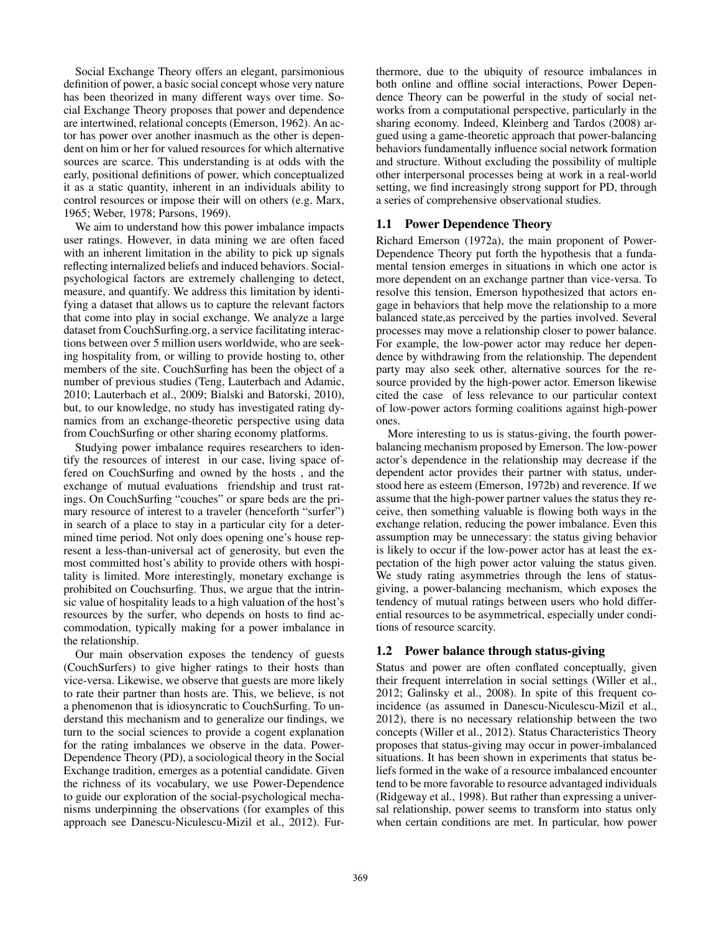Social Exchange Theory offers an elegant, parsimonious definition of power, a basic social concept whose very nature has been theorized in many different ways over time. Social Exchange Theory proposes that power and dependence are intertwined, relational concepts (Emerson, 1962). An actor has power over another inasmuch as the other is dependent on him or her for valued resources for which alternative sources are scarce. This understanding is at odds with the early, positional definitions of power, which conceptualized it as a static quantity, inherent in an individuals ability to control resources or impose their will on others (e.g. Marx, 1965; Weber, 1978; Parsons, 1969).

We aim to understand how this power imbalance impacts user ratings. However, in data mining we are often faced with an inherent limitation in the ability to pick up signals reflecting internalized beliefs and induced behaviors. Socialpsychological factors are extremely challenging to detect, measure, and quantify. We address this limitation by identifying a dataset that allows us to capture the relevant factors that come into play in social exchange. We analyze a large dataset from CouchSurfing.org, a service facilitating interactions between over 5 million users worldwide, who are seeking hospitality from, or willing to provide hosting to, other members of the site. CouchSurfing has been the object of a number of previous studies (Teng, Lauterbach and Adamic, 2010; Lauterbach et al., 2009; Bialski and Batorski, 2010), but, to our knowledge, no study has investigated rating dynamics from an exchange-theoretic perspective using data from CouchSurfing or other sharing economy platforms.

Studying power imbalance requires researchers to identify the resources of interest in our case, living space offered on CouchSurfing and owned by the hosts , and the exchange of mutual evaluations friendship and trust ratings. On CouchSurfing "couches" or spare beds are the primary resource of interest to a traveler (henceforth "surfer") in search of a place to stay in a particular city for a determined time period. Not only does opening one's house represent a less-than-universal act of generosity, but even the most committed host's ability to provide others with hospitality is limited. More interestingly, monetary exchange is prohibited on Couchsurfing. Thus, we argue that the intrinsic value of hospitality leads to a high valuation of the host's resources by the surfer, who depends on hosts to find accommodation, typically making for a power imbalance in the relationship.

Our main observation exposes the tendency of guests (CouchSurfers) to give higher ratings to their hosts than vice-versa. Likewise, we observe that guests are more likely to rate their partner than hosts are. This, we believe, is not a phenomenon that is idiosyncratic to CouchSurfing. To understand this mechanism and to generalize our findings, we turn to the social sciences to provide a cogent explanation for the rating imbalances we observe in the data. Power-Dependence Theory (PD), a sociological theory in the Social Exchange tradition, emerges as a potential candidate. Given the richness of its vocabulary, we use Power-Dependence to guide our exploration of the social-psychological mechanisms underpinning the observations (for examples of this approach see Danescu-Niculescu-Mizil et al., 2012). Furthermore, due to the ubiquity of resource imbalances in both online and offline social interactions, Power Dependence Theory can be powerful in the study of social networks from a computational perspective, particularly in the sharing economy. Indeed, Kleinberg and Tardos (2008) argued using a game-theoretic approach that power-balancing behaviors fundamentally influence social network formation and structure. Without excluding the possibility of multiple other interpersonal processes being at work in a real-world setting, we find increasingly strong support for PD, through a series of comprehensive observational studies.

## 1.1 Power Dependence Theory

Richard Emerson (1972a), the main proponent of Power-Dependence Theory put forth the hypothesis that a fundamental tension emerges in situations in which one actor is more dependent on an exchange partner than vice-versa. To resolve this tension, Emerson hypothesized that actors engage in behaviors that help move the relationship to a more balanced state,as perceived by the parties involved. Several processes may move a relationship closer to power balance. For example, the low-power actor may reduce her dependence by withdrawing from the relationship. The dependent party may also seek other, alternative sources for the resource provided by the high-power actor. Emerson likewise cited the case of less relevance to our particular context of low-power actors forming coalitions against high-power ones.

More interesting to us is status-giving, the fourth powerbalancing mechanism proposed by Emerson. The low-power actor's dependence in the relationship may decrease if the dependent actor provides their partner with status, understood here as esteem (Emerson, 1972b) and reverence. If we assume that the high-power partner values the status they receive, then something valuable is flowing both ways in the exchange relation, reducing the power imbalance. Even this assumption may be unnecessary: the status giving behavior is likely to occur if the low-power actor has at least the expectation of the high power actor valuing the status given. We study rating asymmetries through the lens of statusgiving, a power-balancing mechanism, which exposes the tendency of mutual ratings between users who hold differential resources to be asymmetrical, especially under conditions of resource scarcity.

## 1.2 Power balance through status-giving

Status and power are often conflated conceptually, given their frequent interrelation in social settings (Willer et al., 2012; Galinsky et al., 2008). In spite of this frequent coincidence (as assumed in Danescu-Niculescu-Mizil et al., 2012), there is no necessary relationship between the two concepts (Willer et al., 2012). Status Characteristics Theory proposes that status-giving may occur in power-imbalanced situations. It has been shown in experiments that status beliefs formed in the wake of a resource imbalanced encounter tend to be more favorable to resource advantaged individuals (Ridgeway et al., 1998). But rather than expressing a universal relationship, power seems to transform into status only when certain conditions are met. In particular, how power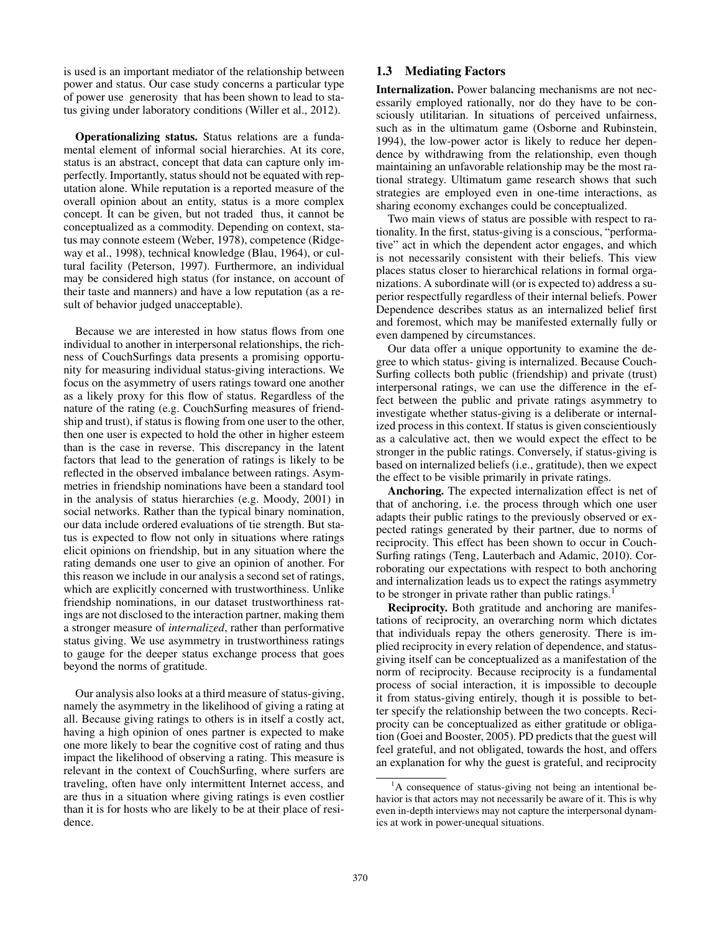is used is an important mediator of the relationship between power and status. Our case study concerns a particular type of power use generosity that has been shown to lead to status giving under laboratory conditions (Willer et al., 2012).

Operationalizing status. Status relations are a fundamental element of informal social hierarchies. At its core, status is an abstract, concept that data can capture only imperfectly. Importantly, status should not be equated with reputation alone. While reputation is a reported measure of the overall opinion about an entity, status is a more complex concept. It can be given, but not traded thus, it cannot be conceptualized as a commodity. Depending on context, status may connote esteem (Weber, 1978), competence (Ridgeway et al., 1998), technical knowledge (Blau, 1964), or cultural facility (Peterson, 1997). Furthermore, an individual may be considered high status (for instance, on account of their taste and manners) and have a low reputation (as a result of behavior judged unacceptable).

Because we are interested in how status flows from one individual to another in interpersonal relationships, the richness of CouchSurfings data presents a promising opportunity for measuring individual status-giving interactions. We focus on the asymmetry of users ratings toward one another as a likely proxy for this flow of status. Regardless of the nature of the rating (e.g. CouchSurfing measures of friendship and trust), if status is flowing from one user to the other, then one user is expected to hold the other in higher esteem than is the case in reverse. This discrepancy in the latent factors that lead to the generation of ratings is likely to be reflected in the observed imbalance between ratings. Asymmetries in friendship nominations have been a standard tool in the analysis of status hierarchies (e.g. Moody, 2001) in social networks. Rather than the typical binary nomination, our data include ordered evaluations of tie strength. But status is expected to flow not only in situations where ratings elicit opinions on friendship, but in any situation where the rating demands one user to give an opinion of another. For this reason we include in our analysis a second set of ratings, which are explicitly concerned with trustworthiness. Unlike friendship nominations, in our dataset trustworthiness ratings are not disclosed to the interaction partner, making them a stronger measure of *internalized*, rather than performative status giving. We use asymmetry in trustworthiness ratings to gauge for the deeper status exchange process that goes beyond the norms of gratitude.

Our analysis also looks at a third measure of status-giving, namely the asymmetry in the likelihood of giving a rating at all. Because giving ratings to others is in itself a costly act, having a high opinion of ones partner is expected to make one more likely to bear the cognitive cost of rating and thus impact the likelihood of observing a rating. This measure is relevant in the context of CouchSurfing, where surfers are traveling, often have only intermittent Internet access, and are thus in a situation where giving ratings is even costlier than it is for hosts who are likely to be at their place of residence.

# 1.3 Mediating Factors

Internalization. Power balancing mechanisms are not necessarily employed rationally, nor do they have to be consciously utilitarian. In situations of perceived unfairness, such as in the ultimatum game (Osborne and Rubinstein, 1994), the low-power actor is likely to reduce her dependence by withdrawing from the relationship, even though maintaining an unfavorable relationship may be the most rational strategy. Ultimatum game research shows that such strategies are employed even in one-time interactions, as sharing economy exchanges could be conceptualized.

Two main views of status are possible with respect to rationality. In the first, status-giving is a conscious, "performative" act in which the dependent actor engages, and which is not necessarily consistent with their beliefs. This view places status closer to hierarchical relations in formal organizations. A subordinate will (or is expected to) address a superior respectfully regardless of their internal beliefs. Power Dependence describes status as an internalized belief first and foremost, which may be manifested externally fully or even dampened by circumstances.

Our data offer a unique opportunity to examine the degree to which status- giving is internalized. Because Couch-Surfing collects both public (friendship) and private (trust) interpersonal ratings, we can use the difference in the effect between the public and private ratings asymmetry to investigate whether status-giving is a deliberate or internalized process in this context. If status is given conscientiously as a calculative act, then we would expect the effect to be stronger in the public ratings. Conversely, if status-giving is based on internalized beliefs (i.e., gratitude), then we expect the effect to be visible primarily in private ratings.

Anchoring. The expected internalization effect is net of that of anchoring, i.e. the process through which one user adapts their public ratings to the previously observed or expected ratings generated by their partner, due to norms of reciprocity. This effect has been shown to occur in Couch-Surfing ratings (Teng, Lauterbach and Adamic, 2010). Corroborating our expectations with respect to both anchoring and internalization leads us to expect the ratings asymmetry to be stronger in private rather than public ratings.<sup>1</sup>

Reciprocity. Both gratitude and anchoring are manifestations of reciprocity, an overarching norm which dictates that individuals repay the others generosity. There is implied reciprocity in every relation of dependence, and statusgiving itself can be conceptualized as a manifestation of the norm of reciprocity. Because reciprocity is a fundamental process of social interaction, it is impossible to decouple it from status-giving entirely, though it is possible to better specify the relationship between the two concepts. Reciprocity can be conceptualized as either gratitude or obligation (Goei and Booster, 2005). PD predicts that the guest will feel grateful, and not obligated, towards the host, and offers an explanation for why the guest is grateful, and reciprocity

<sup>&</sup>lt;sup>1</sup>A consequence of status-giving not being an intentional behavior is that actors may not necessarily be aware of it. This is why even in-depth interviews may not capture the interpersonal dynamics at work in power-unequal situations.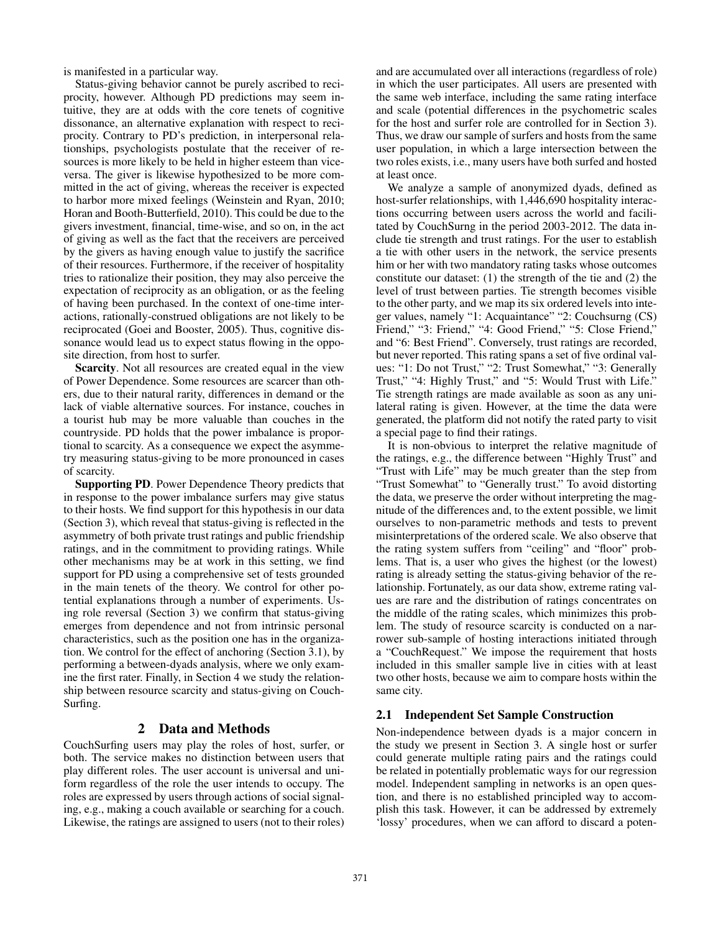is manifested in a particular way.

Status-giving behavior cannot be purely ascribed to reciprocity, however. Although PD predictions may seem intuitive, they are at odds with the core tenets of cognitive dissonance, an alternative explanation with respect to reciprocity. Contrary to PD's prediction, in interpersonal relationships, psychologists postulate that the receiver of resources is more likely to be held in higher esteem than viceversa. The giver is likewise hypothesized to be more committed in the act of giving, whereas the receiver is expected to harbor more mixed feelings (Weinstein and Ryan, 2010; Horan and Booth-Butterfield, 2010). This could be due to the givers investment, financial, time-wise, and so on, in the act of giving as well as the fact that the receivers are perceived by the givers as having enough value to justify the sacrifice of their resources. Furthermore, if the receiver of hospitality tries to rationalize their position, they may also perceive the expectation of reciprocity as an obligation, or as the feeling of having been purchased. In the context of one-time interactions, rationally-construed obligations are not likely to be reciprocated (Goei and Booster, 2005). Thus, cognitive dissonance would lead us to expect status flowing in the opposite direction, from host to surfer.

Scarcity. Not all resources are created equal in the view of Power Dependence. Some resources are scarcer than others, due to their natural rarity, differences in demand or the lack of viable alternative sources. For instance, couches in a tourist hub may be more valuable than couches in the countryside. PD holds that the power imbalance is proportional to scarcity. As a consequence we expect the asymmetry measuring status-giving to be more pronounced in cases of scarcity.

Supporting PD. Power Dependence Theory predicts that in response to the power imbalance surfers may give status to their hosts. We find support for this hypothesis in our data (Section 3), which reveal that status-giving is reflected in the asymmetry of both private trust ratings and public friendship ratings, and in the commitment to providing ratings. While other mechanisms may be at work in this setting, we find support for PD using a comprehensive set of tests grounded in the main tenets of the theory. We control for other potential explanations through a number of experiments. Using role reversal (Section 3) we confirm that status-giving emerges from dependence and not from intrinsic personal characteristics, such as the position one has in the organization. We control for the effect of anchoring (Section 3.1), by performing a between-dyads analysis, where we only examine the first rater. Finally, in Section 4 we study the relationship between resource scarcity and status-giving on Couch-Surfing.

## 2 Data and Methods

CouchSurfing users may play the roles of host, surfer, or both. The service makes no distinction between users that play different roles. The user account is universal and uniform regardless of the role the user intends to occupy. The roles are expressed by users through actions of social signaling, e.g., making a couch available or searching for a couch. Likewise, the ratings are assigned to users (not to their roles)

and are accumulated over all interactions (regardless of role) in which the user participates. All users are presented with the same web interface, including the same rating interface and scale (potential differences in the psychometric scales for the host and surfer role are controlled for in Section 3). Thus, we draw our sample of surfers and hosts from the same user population, in which a large intersection between the two roles exists, i.e., many users have both surfed and hosted at least once.

We analyze a sample of anonymized dyads, defined as host-surfer relationships, with 1,446,690 hospitality interactions occurring between users across the world and facilitated by CouchSurng in the period 2003-2012. The data include tie strength and trust ratings. For the user to establish a tie with other users in the network, the service presents him or her with two mandatory rating tasks whose outcomes constitute our dataset: (1) the strength of the tie and (2) the level of trust between parties. Tie strength becomes visible to the other party, and we map its six ordered levels into integer values, namely "1: Acquaintance" "2: Couchsurng (CS) Friend," "3: Friend," "4: Good Friend," "5: Close Friend," and "6: Best Friend". Conversely, trust ratings are recorded, but never reported. This rating spans a set of five ordinal values: "1: Do not Trust," "2: Trust Somewhat," "3: Generally Trust," "4: Highly Trust," and "5: Would Trust with Life." Tie strength ratings are made available as soon as any unilateral rating is given. However, at the time the data were generated, the platform did not notify the rated party to visit a special page to find their ratings.

It is non-obvious to interpret the relative magnitude of the ratings, e.g., the difference between "Highly Trust" and "Trust with Life" may be much greater than the step from "Trust Somewhat" to "Generally trust." To avoid distorting the data, we preserve the order without interpreting the magnitude of the differences and, to the extent possible, we limit ourselves to non-parametric methods and tests to prevent misinterpretations of the ordered scale. We also observe that the rating system suffers from "ceiling" and "floor" problems. That is, a user who gives the highest (or the lowest) rating is already setting the status-giving behavior of the relationship. Fortunately, as our data show, extreme rating values are rare and the distribution of ratings concentrates on the middle of the rating scales, which minimizes this problem. The study of resource scarcity is conducted on a narrower sub-sample of hosting interactions initiated through a "CouchRequest." We impose the requirement that hosts included in this smaller sample live in cities with at least two other hosts, because we aim to compare hosts within the same city.

## 2.1 Independent Set Sample Construction

Non-independence between dyads is a major concern in the study we present in Section 3. A single host or surfer could generate multiple rating pairs and the ratings could be related in potentially problematic ways for our regression model. Independent sampling in networks is an open question, and there is no established principled way to accomplish this task. However, it can be addressed by extremely 'lossy' procedures, when we can afford to discard a poten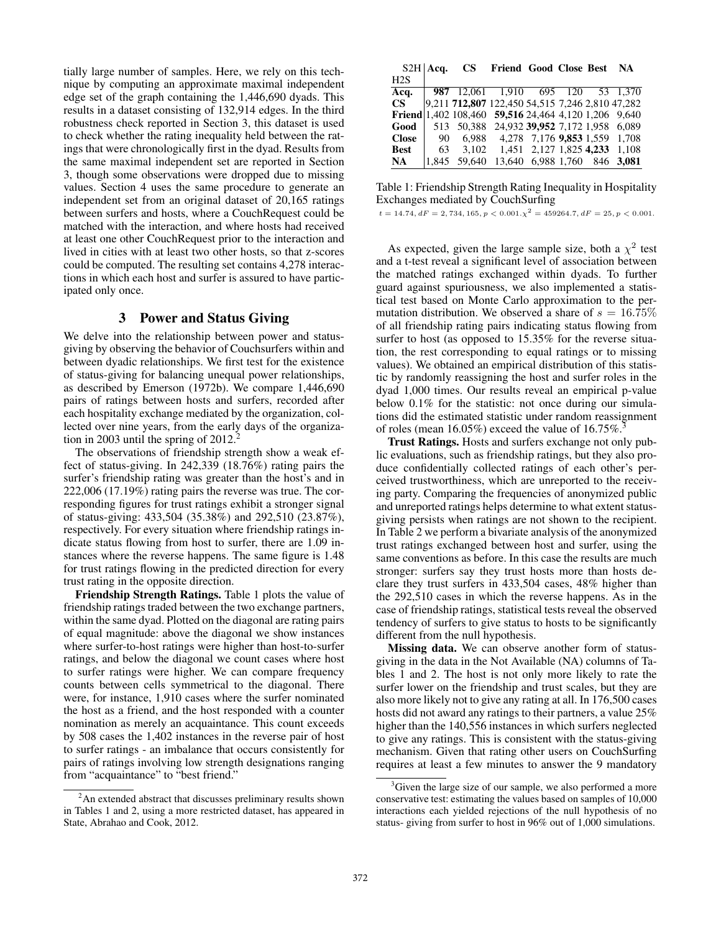tially large number of samples. Here, we rely on this technique by computing an approximate maximal independent edge set of the graph containing the 1,446,690 dyads. This results in a dataset consisting of 132,914 edges. In the third robustness check reported in Section 3, this dataset is used to check whether the rating inequality held between the ratings that were chronologically first in the dyad. Results from the same maximal independent set are reported in Section 3, though some observations were dropped due to missing values. Section 4 uses the same procedure to generate an independent set from an original dataset of 20,165 ratings between surfers and hosts, where a CouchRequest could be matched with the interaction, and where hosts had received at least one other CouchRequest prior to the interaction and lived in cities with at least two other hosts, so that z-scores could be computed. The resulting set contains 4,278 interactions in which each host and surfer is assured to have participated only once.

### 3 Power and Status Giving

We delve into the relationship between power and statusgiving by observing the behavior of Couchsurfers within and between dyadic relationships. We first test for the existence of status-giving for balancing unequal power relationships, as described by Emerson (1972b). We compare 1,446,690 pairs of ratings between hosts and surfers, recorded after each hospitality exchange mediated by the organization, collected over nine years, from the early days of the organization in 2003 until the spring of  $2012<sup>2</sup>$ .

The observations of friendship strength show a weak effect of status-giving. In 242,339 (18.76%) rating pairs the surfer's friendship rating was greater than the host's and in 222,006 (17.19%) rating pairs the reverse was true. The corresponding figures for trust ratings exhibit a stronger signal of status-giving: 433,504 (35.38%) and 292,510 (23.87%), respectively. For every situation where friendship ratings indicate status flowing from host to surfer, there are 1.09 instances where the reverse happens. The same figure is 1.48 for trust ratings flowing in the predicted direction for every trust rating in the opposite direction.

Friendship Strength Ratings. Table 1 plots the value of friendship ratings traded between the two exchange partners, within the same dyad. Plotted on the diagonal are rating pairs of equal magnitude: above the diagonal we show instances where surfer-to-host ratings were higher than host-to-surfer ratings, and below the diagonal we count cases where host to surfer ratings were higher. We can compare frequency counts between cells symmetrical to the diagonal. There were, for instance, 1,910 cases where the surfer nominated the host as a friend, and the host responded with a counter nomination as merely an acquaintance. This count exceeds by 508 cases the 1,402 instances in the reverse pair of host to surfer ratings - an imbalance that occurs consistently for pairs of ratings involving low strength designations ranging from "acquaintance" to "best friend."

|              | $S2H$ Acq. | <b>CS</b>                                            | Friend Good Close Best NA              |                              |  |       |
|--------------|------------|------------------------------------------------------|----------------------------------------|------------------------------|--|-------|
| H2S          |            |                                                      |                                        |                              |  |       |
| Acq.         |            | 987 12,061 1,910 695 120 53 1,370                    |                                        |                              |  |       |
| CS.          |            | 9,211 712,807 122,450 54,515 7,246 2,810 47,282      |                                        |                              |  |       |
|              |            | Friend 1,402 108,460 59,516 24,464 4,120 1,206 9,640 |                                        |                              |  |       |
| Good         | 513        |                                                      | 50,388 24,932 39,952 7,172 1,958 6,089 |                              |  |       |
| <b>Close</b> | - 90       |                                                      | 6,988 4,278 7,176 9,853 1,559 1,708    |                              |  |       |
| <b>Best</b>  | 63         |                                                      | 3,102 1,451 2,127 1,825 4,233          |                              |  | 1.108 |
| NA.          | 1.845      | 59.640                                               |                                        | 13,640 6,988 1,760 846 3,081 |  |       |

Table 1: Friendship Strength Rating Inequality in Hospitality Exchanges mediated by CouchSurfing

 $t = 14.74, dF = 2, 734, 165, p < 0.001.\chi^2 = 459264.7, dF = 25, p < 0.001.$ 

As expected, given the large sample size, both a  $\chi^2$  test and a t-test reveal a significant level of association between the matched ratings exchanged within dyads. To further guard against spuriousness, we also implemented a statistical test based on Monte Carlo approximation to the permutation distribution. We observed a share of  $s = 16.75\%$ of all friendship rating pairs indicating status flowing from surfer to host (as opposed to 15.35% for the reverse situation, the rest corresponding to equal ratings or to missing values). We obtained an empirical distribution of this statistic by randomly reassigning the host and surfer roles in the dyad 1,000 times. Our results reveal an empirical p-value below 0.1% for the statistic: not once during our simulations did the estimated statistic under random reassignment of roles (mean  $16.05\%$ ) exceed the value of  $16.75\%$ .

Trust Ratings. Hosts and surfers exchange not only public evaluations, such as friendship ratings, but they also produce confidentially collected ratings of each other's perceived trustworthiness, which are unreported to the receiving party. Comparing the frequencies of anonymized public and unreported ratings helps determine to what extent statusgiving persists when ratings are not shown to the recipient. In Table 2 we perform a bivariate analysis of the anonymized trust ratings exchanged between host and surfer, using the same conventions as before. In this case the results are much stronger: surfers say they trust hosts more than hosts declare they trust surfers in 433,504 cases, 48% higher than the 292,510 cases in which the reverse happens. As in the case of friendship ratings, statistical tests reveal the observed tendency of surfers to give status to hosts to be significantly different from the null hypothesis.

Missing data. We can observe another form of statusgiving in the data in the Not Available (NA) columns of Tables 1 and 2. The host is not only more likely to rate the surfer lower on the friendship and trust scales, but they are also more likely not to give any rating at all. In 176,500 cases hosts did not award any ratings to their partners, a value 25% higher than the 140,556 instances in which surfers neglected to give any ratings. This is consistent with the status-giving mechanism. Given that rating other users on CouchSurfing requires at least a few minutes to answer the 9 mandatory

<sup>&</sup>lt;sup>2</sup>An extended abstract that discusses preliminary results shown in Tables 1 and 2, using a more restricted dataset, has appeared in State, Abrahao and Cook, 2012.

<sup>&</sup>lt;sup>3</sup>Given the large size of our sample, we also performed a more conservative test: estimating the values based on samples of 10,000 interactions each yielded rejections of the null hypothesis of no status- giving from surfer to host in 96% out of 1,000 simulations.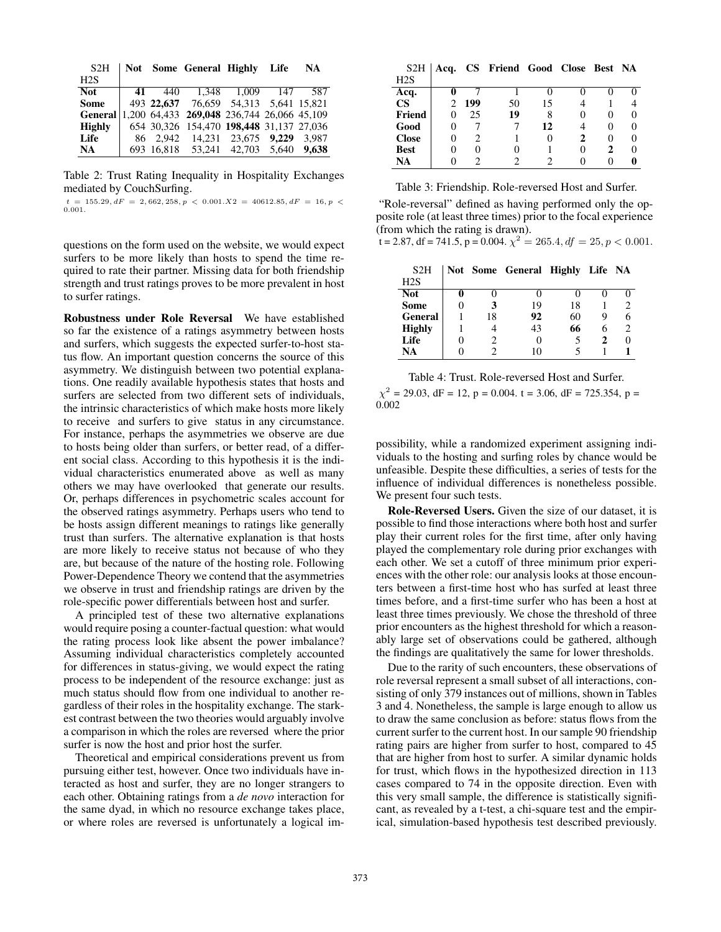| S <sub>2</sub> H |  | Not Some General Highly Life                       |  | NA. |
|------------------|--|----------------------------------------------------|--|-----|
| H2S              |  |                                                    |  |     |
| Not              |  | 41 440 1.348 1.009 147                             |  | 587 |
| <b>Some</b>      |  | 493 22,637 76,659 54,313 5,641 15,821              |  |     |
|                  |  | General 1,200 64,433 269,048 236,744 26,066 45,109 |  |     |
| <b>Highly</b>    |  | 654 30,326 154,470 198,448 31,137 27,036           |  |     |
| Life             |  | 86 2,942 14,231 23,675 9,229 3,987                 |  |     |
| <b>NA</b>        |  | 693 16.818 53.241 42.703 5.640 9.638               |  |     |

Table 2: Trust Rating Inequality in Hospitality Exchanges mediated by CouchSurfing.

 $t = 155.29, dF = 2,662,258, p < 0.001.X2 = 40612.85, dF = 16, p <$ 0.001.

questions on the form used on the website, we would expect surfers to be more likely than hosts to spend the time required to rate their partner. Missing data for both friendship strength and trust ratings proves to be more prevalent in host to surfer ratings.

Robustness under Role Reversal We have established so far the existence of a ratings asymmetry between hosts and surfers, which suggests the expected surfer-to-host status flow. An important question concerns the source of this asymmetry. We distinguish between two potential explanations. One readily available hypothesis states that hosts and surfers are selected from two different sets of individuals, the intrinsic characteristics of which make hosts more likely to receive and surfers to give status in any circumstance. For instance, perhaps the asymmetries we observe are due to hosts being older than surfers, or better read, of a different social class. According to this hypothesis it is the individual characteristics enumerated above as well as many others we may have overlooked that generate our results. Or, perhaps differences in psychometric scales account for the observed ratings asymmetry. Perhaps users who tend to be hosts assign different meanings to ratings like generally trust than surfers. The alternative explanation is that hosts are more likely to receive status not because of who they are, but because of the nature of the hosting role. Following Power-Dependence Theory we contend that the asymmetries we observe in trust and friendship ratings are driven by the role-specific power differentials between host and surfer.

A principled test of these two alternative explanations would require posing a counter-factual question: what would the rating process look like absent the power imbalance? Assuming individual characteristics completely accounted for differences in status-giving, we would expect the rating process to be independent of the resource exchange: just as much status should flow from one individual to another regardless of their roles in the hospitality exchange. The starkest contrast between the two theories would arguably involve a comparison in which the roles are reversed where the prior surfer is now the host and prior host the surfer.

Theoretical and empirical considerations prevent us from pursuing either test, however. Once two individuals have interacted as host and surfer, they are no longer strangers to each other. Obtaining ratings from a *de novo* interaction for the same dyad, in which no resource exchange takes place, or where roles are reversed is unfortunately a logical im-

| S <sub>2</sub> H |                   |     | Acq. CS Friend Good Close Best NA |    |   |   |  |
|------------------|-------------------|-----|-----------------------------------|----|---|---|--|
| H2S              |                   |     |                                   |    |   |   |  |
| Acq.             |                   |     |                                   |    |   |   |  |
| <b>CS</b>        |                   | 199 | 50                                | 15 |   |   |  |
| Friend           | 0                 | 25  | 19                                |    |   |   |  |
| Good             |                   |     |                                   | 12 |   |   |  |
| <b>Close</b>     | 0                 | 2   |                                   |    | 2 |   |  |
| <b>Best</b>      | $\mathbf{\Omega}$ |     |                                   |    |   | 2 |  |
| NA               |                   |     |                                   |    |   |   |  |

Table 3: Friendship. Role-reversed Host and Surfer.

"Role-reversal" defined as having performed only the opposite role (at least three times) prior to the focal experience (from which the rating is drawn).

 $\chi$  t = 2.87, df = 741.5, p = 0.004.  $\chi^2$  = 265.4, df = 25, p < 0.001.

| S <sub>2</sub> H |    | Not Some General Highly Life NA |    |   |                |
|------------------|----|---------------------------------|----|---|----------------|
| H2S              |    |                                 |    |   |                |
| <b>Not</b>       |    |                                 |    |   |                |
| <b>Some</b>      | 3  | 19                              | 18 |   | $\mathcal{D}$  |
| <b>General</b>   | 18 | 92                              | 60 | Q | 6              |
| <b>Highly</b>    |    | 43                              | 66 | h | $\mathfrak{D}$ |
| Life             |    | $\mathbf{\Omega}$               |    |   |                |
| NA               |    | ١O                              |    |   |                |

Table 4: Trust. Role-reversed Host and Surfer.  $\chi^2$  = 29.03, dF = 12, p = 0.004. t = 3.06, dF = 725.354, p =

0.002

possibility, while a randomized experiment assigning individuals to the hosting and surfing roles by chance would be unfeasible. Despite these difficulties, a series of tests for the influence of individual differences is nonetheless possible. We present four such tests.

Role-Reversed Users. Given the size of our dataset, it is possible to find those interactions where both host and surfer play their current roles for the first time, after only having played the complementary role during prior exchanges with each other. We set a cutoff of three minimum prior experiences with the other role: our analysis looks at those encounters between a first-time host who has surfed at least three times before, and a first-time surfer who has been a host at least three times previously. We chose the threshold of three prior encounters as the highest threshold for which a reasonably large set of observations could be gathered, although the findings are qualitatively the same for lower thresholds.

Due to the rarity of such encounters, these observations of role reversal represent a small subset of all interactions, consisting of only 379 instances out of millions, shown in Tables 3 and 4. Nonetheless, the sample is large enough to allow us to draw the same conclusion as before: status flows from the current surfer to the current host. In our sample 90 friendship rating pairs are higher from surfer to host, compared to 45 that are higher from host to surfer. A similar dynamic holds for trust, which flows in the hypothesized direction in 113 cases compared to 74 in the opposite direction. Even with this very small sample, the difference is statistically significant, as revealed by a t-test, a chi-square test and the empirical, simulation-based hypothesis test described previously.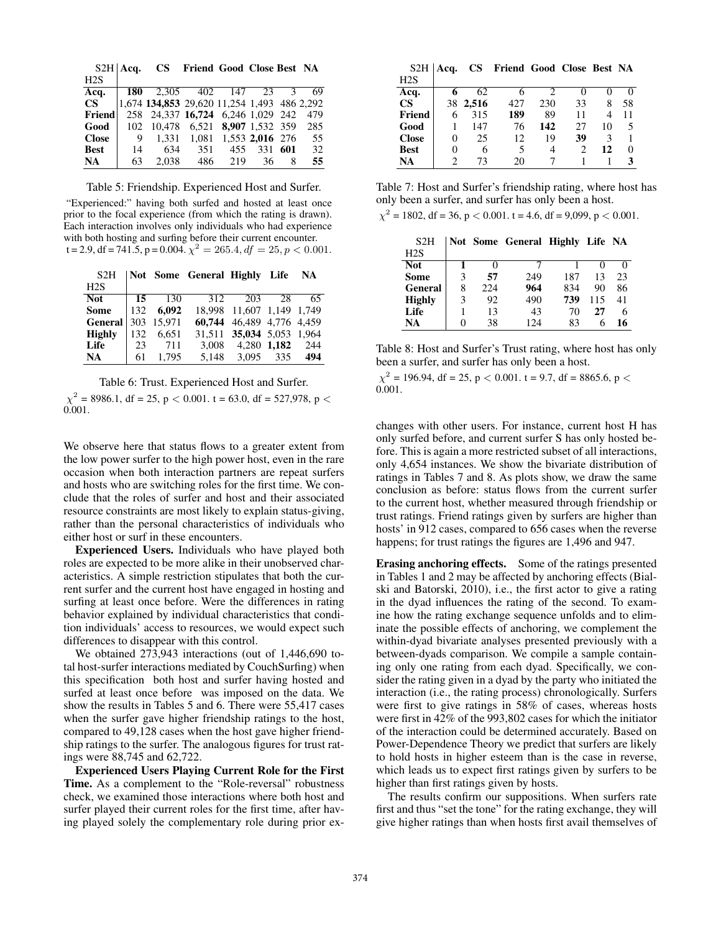|              | $S2H$   Acq. | $\mathbf{CS}^-$                             | Friend Good Close Best NA     |     |                 |     |     |
|--------------|--------------|---------------------------------------------|-------------------------------|-----|-----------------|-----|-----|
| H2S          |              |                                             |                               |     |                 |     |     |
| Acq.         | 180          |                                             | 2,305 402 147 23              |     |                 | 3   | 69  |
| CS -         |              | 1,674 134,853 29,620 11,254 1,493 486 2,292 |                               |     |                 |     |     |
| Friend       | 258          |                                             | 24,337 16,724 6,246 1,029 242 |     |                 |     | 479 |
| Good         | 102          | 10.478                                      | 6.521                         |     | 8,907 1,532 359 |     | 285 |
| <b>Close</b> | 9            | 1.331                                       | 1.081                         |     | 1,553 2,016 276 |     | 55  |
| <b>Best</b>  | 14           | 634                                         | 351                           | 455 | 331             | 601 | 32  |
| NA           | 63           | 2.038                                       | 486                           | 219 | 36              | 8   | 55  |

Table 5: Friendship. Experienced Host and Surfer.

"Experienced:" having both surfed and hosted at least once prior to the focal experience (from which the rating is drawn). Each interaction involves only individuals who had experience with both hosting and surfing before their current encounter.  $t = 2.9$ , df = 741.5, p = 0.004.  $\chi^2 = 265.4$ , df = 25, p < 0.001.

| S2H           |            |            | Not Some General Highly Life NA |                           |           |     |
|---------------|------------|------------|---------------------------------|---------------------------|-----------|-----|
| H2S           |            |            |                                 |                           |           |     |
| Not.          | - 15       | - 130      | 312                             | 203                       | 28        | 65  |
| <b>Some</b>   |            | 132 6.092  |                                 | 18.998 11.607 1.149 1.749 |           |     |
| General       |            | 303 15,971 |                                 | 60,744 46,489 4,776 4,459 |           |     |
| <b>Highly</b> | 132        | 6.651      |                                 | 31,511 35,034 5,053 1,964 |           |     |
| Life          | $\vert$ 23 | 711        | 3.008                           | 4,280 1,182 244           |           |     |
| <b>NA</b>     | 61         | 1.795      | 5,148                           |                           | 3,095 335 | 494 |

Table 6: Trust. Experienced Host and Surfer.

 $\chi^2$  = 8986.1, df = 25, p < 0.001. t = 63.0, df = 527,978, p < 0.001.

We observe here that status flows to a greater extent from the low power surfer to the high power host, even in the rare occasion when both interaction partners are repeat surfers and hosts who are switching roles for the first time. We conclude that the roles of surfer and host and their associated resource constraints are most likely to explain status-giving, rather than the personal characteristics of individuals who either host or surf in these encounters.

Experienced Users. Individuals who have played both roles are expected to be more alike in their unobserved characteristics. A simple restriction stipulates that both the current surfer and the current host have engaged in hosting and surfing at least once before. Were the differences in rating behavior explained by individual characteristics that condition individuals' access to resources, we would expect such differences to disappear with this control.

We obtained 273,943 interactions (out of 1,446,690 total host-surfer interactions mediated by CouchSurfing) when this specification both host and surfer having hosted and surfed at least once before was imposed on the data. We show the results in Tables 5 and 6. There were 55,417 cases when the surfer gave higher friendship ratings to the host, compared to 49,128 cases when the host gave higher friendship ratings to the surfer. The analogous figures for trust ratings were 88,745 and 62,722.

Experienced Users Playing Current Role for the First Time. As a complement to the "Role-reversal" robustness check, we examined those interactions where both host and surfer played their current roles for the first time, after having played solely the complementary role during prior ex-

| S <sub>2</sub> H | Acq.     |       | CS Friend Good Close Best NA |     |    |    |    |
|------------------|----------|-------|------------------------------|-----|----|----|----|
| H2S              |          |       |                              |     |    |    |    |
| Acq.             | 6        | 62.   |                              | 2   |    | 0  |    |
| $\mathbf{CS}$    | 38       | 2,516 | 427                          | 230 | 33 | 8  | 58 |
| <b>Friend</b>    | 6        | 315   | 189                          | 89  | 11 | 4  | 11 |
| Good             |          | 147   | 76                           | 142 | 27 | 10 | 5  |
| <b>Close</b>     | $\theta$ | 25    | 12                           | 19  | 39 | 3  |    |
| <b>Best</b>      | 0        | 6     | 5                            | 4   |    | 12 | 0  |
| NA               |          | 73    | 20                           |     |    |    |    |

Table 7: Host and Surfer's friendship rating, where host has only been a surfer, and surfer has only been a host.

|  |  | $\chi^2$ = 1802, df = 36, p < 0.001. t = 4.6, df = 9,099, p < 0.001. |  |  |
|--|--|----------------------------------------------------------------------|--|--|
|  |  |                                                                      |  |  |

| S <sub>2</sub> H |   |     | Not Some General Highly Life NA |     |     |          |
|------------------|---|-----|---------------------------------|-----|-----|----------|
| H2S              |   |     |                                 |     |     |          |
| <b>Not</b>       |   |     |                                 |     |     | $\theta$ |
| Some             | 3 | 57  | 249                             | 187 | 13  | 23       |
| General          | 8 | 224 | 964                             | 834 | 90  | 86       |
| <b>Highly</b>    | 3 | 92  | 490                             | 739 | 115 | 41       |
| Life             |   | 13  | 43                              | 70  | 27  | 6        |
| NA               | 0 | 38  | 124                             | 83  | 6   | 16       |

Table 8: Host and Surfer's Trust rating, where host has only been a surfer, and surfer has only been a host.

 $\chi^2$  = 196.94, df = 25, p < 0.001. t = 9.7, df = 8865.6, p < 0.001.

changes with other users. For instance, current host H has only surfed before, and current surfer S has only hosted before. This is again a more restricted subset of all interactions, only 4,654 instances. We show the bivariate distribution of ratings in Tables 7 and 8. As plots show, we draw the same conclusion as before: status flows from the current surfer to the current host, whether measured through friendship or trust ratings. Friend ratings given by surfers are higher than hosts' in 912 cases, compared to 656 cases when the reverse happens; for trust ratings the figures are 1,496 and 947.

Erasing anchoring effects. Some of the ratings presented in Tables 1 and 2 may be affected by anchoring effects (Bialski and Batorski, 2010), i.e., the first actor to give a rating in the dyad influences the rating of the second. To examine how the rating exchange sequence unfolds and to eliminate the possible effects of anchoring, we complement the within-dyad bivariate analyses presented previously with a between-dyads comparison. We compile a sample containing only one rating from each dyad. Specifically, we consider the rating given in a dyad by the party who initiated the interaction (i.e., the rating process) chronologically. Surfers were first to give ratings in 58% of cases, whereas hosts were first in 42% of the 993,802 cases for which the initiator of the interaction could be determined accurately. Based on Power-Dependence Theory we predict that surfers are likely to hold hosts in higher esteem than is the case in reverse, which leads us to expect first ratings given by surfers to be higher than first ratings given by hosts.

The results confirm our suppositions. When surfers rate first and thus "set the tone" for the rating exchange, they will give higher ratings than when hosts first avail themselves of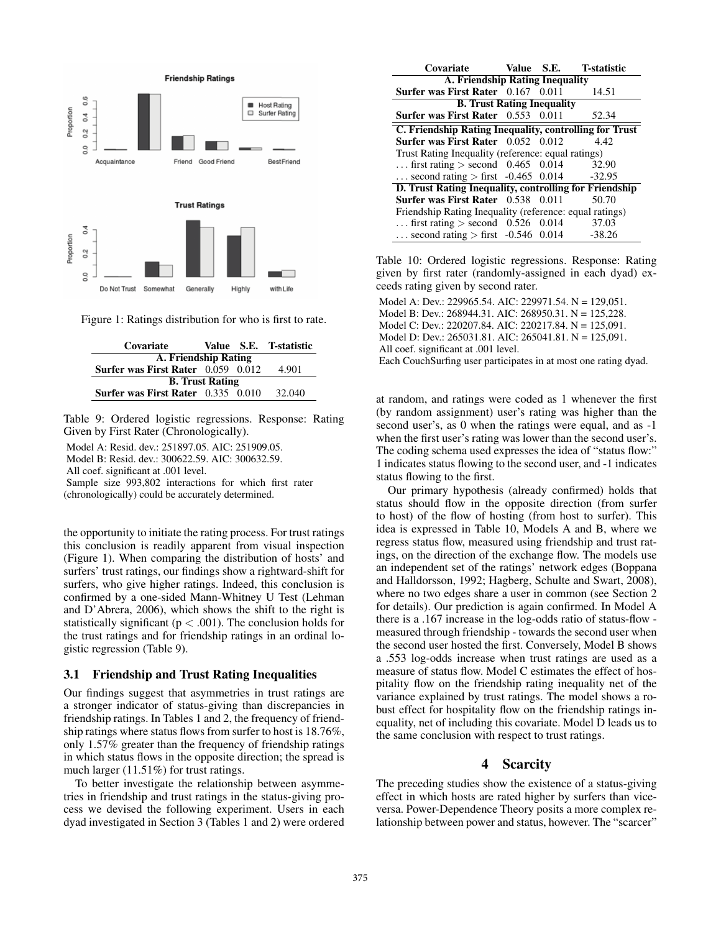

Figure 1: Ratings distribution for who is first to rate.

| Covariate                                 |  |  | Value S.E. T-statistic |  |  |  |
|-------------------------------------------|--|--|------------------------|--|--|--|
| A. Friendship Rating                      |  |  |                        |  |  |  |
| Surfer was First Rater 0.059 0.012        |  |  | 4.901                  |  |  |  |
| <b>B.</b> Trust Rating                    |  |  |                        |  |  |  |
| <b>Surfer was First Rater</b> 0.335 0.010 |  |  | 32.040                 |  |  |  |

Table 9: Ordered logistic regressions. Response: Rating Given by First Rater (Chronologically).

Model A: Resid. dev.: 251897.05. AIC: 251909.05.

Model B: Resid. dev.: 300622.59. AIC: 300632.59.

All coef. significant at .001 level.

Sample size 993,802 interactions for which first rater (chronologically) could be accurately determined.

the opportunity to initiate the rating process. For trust ratings this conclusion is readily apparent from visual inspection (Figure 1). When comparing the distribution of hosts' and surfers' trust ratings, our findings show a rightward-shift for surfers, who give higher ratings. Indeed, this conclusion is confirmed by a one-sided Mann-Whitney U Test (Lehman and D'Abrera, 2006), which shows the shift to the right is statistically significant ( $p < .001$ ). The conclusion holds for the trust ratings and for friendship ratings in an ordinal logistic regression (Table 9).

#### 3.1 Friendship and Trust Rating Inequalities

Our findings suggest that asymmetries in trust ratings are a stronger indicator of status-giving than discrepancies in friendship ratings. In Tables 1 and 2, the frequency of friendship ratings where status flows from surfer to host is 18.76%, only 1.57% greater than the frequency of friendship ratings in which status flows in the opposite direction; the spread is much larger (11.51%) for trust ratings.

To better investigate the relationship between asymmetries in friendship and trust ratings in the status-giving process we devised the following experiment. Users in each dyad investigated in Section 3 (Tables 1 and 2) were ordered

| Covariate Value S.E. T-statistic                        |  |  |       |  |  |  |  |
|---------------------------------------------------------|--|--|-------|--|--|--|--|
| <b>A. Friendship Rating Inequality</b>                  |  |  |       |  |  |  |  |
| Surfer was First Rater 0.167 0.011                      |  |  | 14.51 |  |  |  |  |
| <b>B. Trust Rating Inequality</b>                       |  |  |       |  |  |  |  |
| <b>Surfer was First Rater</b> $0.553$ $0.011$           |  |  | 52.34 |  |  |  |  |
| C. Friendship Rating Inequality, controlling for Trust  |  |  |       |  |  |  |  |
| Surfer was First Rater 0.052 0.012                      |  |  | 4.42  |  |  |  |  |
| Trust Rating Inequality (reference: equal ratings)      |  |  |       |  |  |  |  |
| first rating $>$ second 0.465 0.014                     |  |  | 32.90 |  |  |  |  |
| second rating $>$ first -0.465 0.014 -32.95             |  |  |       |  |  |  |  |
| D. Trust Rating Inequality, controlling for Friendship  |  |  |       |  |  |  |  |
| <b>Surfer was First Rater</b> 0.538 0.011               |  |  | 50.70 |  |  |  |  |
| Friendship Rating Inequality (reference: equal ratings) |  |  |       |  |  |  |  |
| first rating $>$ second 0.526 0.014                     |  |  | 37.03 |  |  |  |  |
| second rating $>$ first -0.546 0.014 -38.26             |  |  |       |  |  |  |  |

Table 10: Ordered logistic regressions. Response: Rating given by first rater (randomly-assigned in each dyad) exceeds rating given by second rater.

Model A: Dev.: 229965.54. AIC: 229971.54. N = 129.051. Model B: Dev.: 268944.31. AIC: 268950.31. N = 125,228. Model C: Dev.: 220207.84. AIC: 220217.84. N = 125,091. Model D: Dev.: 265031.81. AIC: 265041.81. N = 125,091. All coef. significant at .001 level. Each CouchSurfing user participates in at most one rating dyad.

at random, and ratings were coded as 1 whenever the first (by random assignment) user's rating was higher than the second user's, as 0 when the ratings were equal, and as -1 when the first user's rating was lower than the second user's. The coding schema used expresses the idea of "status flow:" 1 indicates status flowing to the second user, and -1 indicates status flowing to the first.

Our primary hypothesis (already confirmed) holds that status should flow in the opposite direction (from surfer to host) of the flow of hosting (from host to surfer). This idea is expressed in Table 10, Models A and B, where we regress status flow, measured using friendship and trust ratings, on the direction of the exchange flow. The models use an independent set of the ratings' network edges (Boppana and Halldorsson, 1992; Hagberg, Schulte and Swart, 2008), where no two edges share a user in common (see Section 2 for details). Our prediction is again confirmed. In Model A there is a .167 increase in the log-odds ratio of status-flow measured through friendship - towards the second user when the second user hosted the first. Conversely, Model B shows a .553 log-odds increase when trust ratings are used as a measure of status flow. Model C estimates the effect of hospitality flow on the friendship rating inequality net of the variance explained by trust ratings. The model shows a robust effect for hospitality flow on the friendship ratings inequality, net of including this covariate. Model D leads us to the same conclusion with respect to trust ratings.

## 4 Scarcity

The preceding studies show the existence of a status-giving effect in which hosts are rated higher by surfers than viceversa. Power-Dependence Theory posits a more complex relationship between power and status, however. The "scarcer"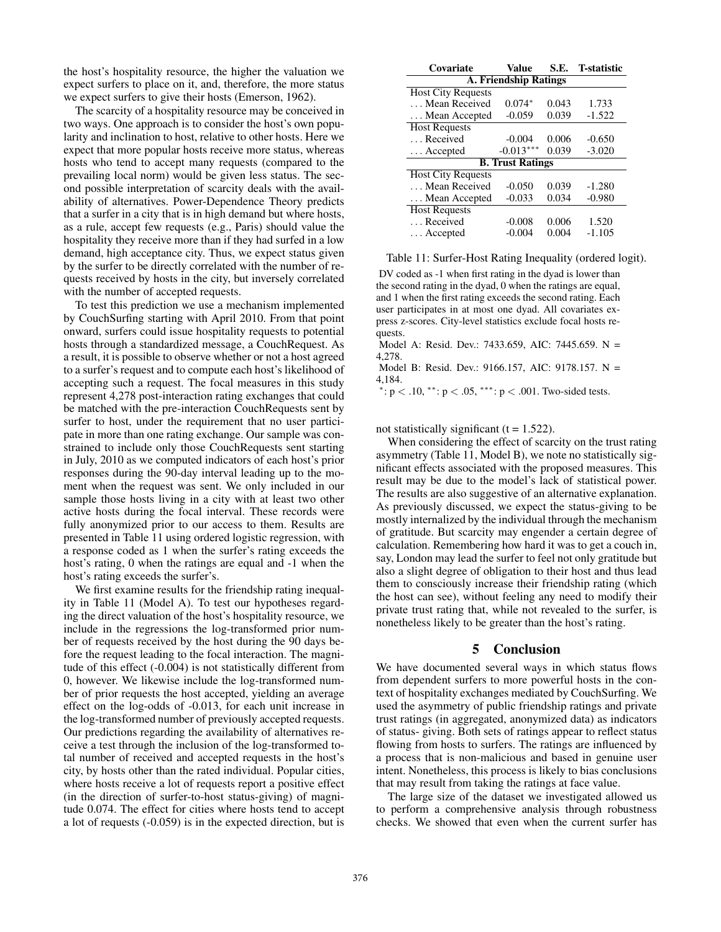the host's hospitality resource, the higher the valuation we expect surfers to place on it, and, therefore, the more status we expect surfers to give their hosts (Emerson, 1962).

The scarcity of a hospitality resource may be conceived in two ways. One approach is to consider the host's own popularity and inclination to host, relative to other hosts. Here we expect that more popular hosts receive more status, whereas hosts who tend to accept many requests (compared to the prevailing local norm) would be given less status. The second possible interpretation of scarcity deals with the availability of alternatives. Power-Dependence Theory predicts that a surfer in a city that is in high demand but where hosts, as a rule, accept few requests (e.g., Paris) should value the hospitality they receive more than if they had surfed in a low demand, high acceptance city. Thus, we expect status given by the surfer to be directly correlated with the number of requests received by hosts in the city, but inversely correlated with the number of accepted requests.

To test this prediction we use a mechanism implemented by CouchSurfing starting with April 2010. From that point onward, surfers could issue hospitality requests to potential hosts through a standardized message, a CouchRequest. As a result, it is possible to observe whether or not a host agreed to a surfer's request and to compute each host's likelihood of accepting such a request. The focal measures in this study represent 4,278 post-interaction rating exchanges that could be matched with the pre-interaction CouchRequests sent by surfer to host, under the requirement that no user participate in more than one rating exchange. Our sample was constrained to include only those CouchRequests sent starting in July, 2010 as we computed indicators of each host's prior responses during the 90-day interval leading up to the moment when the request was sent. We only included in our sample those hosts living in a city with at least two other active hosts during the focal interval. These records were fully anonymized prior to our access to them. Results are presented in Table 11 using ordered logistic regression, with a response coded as 1 when the surfer's rating exceeds the host's rating, 0 when the ratings are equal and -1 when the host's rating exceeds the surfer's.

We first examine results for the friendship rating inequality in Table 11 (Model A). To test our hypotheses regarding the direct valuation of the host's hospitality resource, we include in the regressions the log-transformed prior number of requests received by the host during the 90 days before the request leading to the focal interaction. The magnitude of this effect (-0.004) is not statistically different from 0, however. We likewise include the log-transformed number of prior requests the host accepted, yielding an average effect on the log-odds of -0.013, for each unit increase in the log-transformed number of previously accepted requests. Our predictions regarding the availability of alternatives receive a test through the inclusion of the log-transformed total number of received and accepted requests in the host's city, by hosts other than the rated individual. Popular cities, where hosts receive a lot of requests report a positive effect (in the direction of surfer-to-host status-giving) of magnitude 0.074. The effect for cities where hosts tend to accept a lot of requests (-0.059) is in the expected direction, but is

| Covariate                    | Value                   | S.E.  | <b>T</b> -statistic |  |  |  |  |
|------------------------------|-------------------------|-------|---------------------|--|--|--|--|
| <b>A. Friendship Ratings</b> |                         |       |                     |  |  |  |  |
| <b>Host City Requests</b>    |                         |       |                     |  |  |  |  |
| Mean Received                | $0.074*$                | 0.043 | 1.733               |  |  |  |  |
| Mean Accepted                | $-0.059$                | 0.039 | $-1.522$            |  |  |  |  |
| <b>Host Requests</b>         |                         |       |                     |  |  |  |  |
| Received                     | $-0.004$                | 0.006 | $-0.650$            |  |  |  |  |
| $\ldots$ Accepted            | $-0.013***$             | 0.039 | $-3.020$            |  |  |  |  |
|                              | <b>B. Trust Ratings</b> |       |                     |  |  |  |  |
| <b>Host City Requests</b>    |                         |       |                     |  |  |  |  |
| Mean Received                | $-0.050$                | 0.039 | $-1.280$            |  |  |  |  |
| Mean Accepted                | $-0.033$                | 0.034 | $-0.980$            |  |  |  |  |
| <b>Host Requests</b>         |                         |       |                     |  |  |  |  |
| Received                     | $-0.008$                | 0.006 | 1.520               |  |  |  |  |
| Accepted                     | $-0.004$                | 0.004 | $-1.105$            |  |  |  |  |

Table 11: Surfer-Host Rating Inequality (ordered logit).

DV coded as -1 when first rating in the dyad is lower than the second rating in the dyad, 0 when the ratings are equal, and 1 when the first rating exceeds the second rating. Each user participates in at most one dyad. All covariates express z-scores. City-level statistics exclude focal hosts requests.

Model A: Resid. Dev.: 7433.659, AIC: 7445.659. N = 4,278.

Model B: Resid. Dev.: 9166.157, AIC: 9178.157. N = 4,184.

 $\gamma$ : p < .10, \*\*: p < .05, \*\*\*: p < .001. Two-sided tests.

not statistically significant  $(t = 1.522)$ .

When considering the effect of scarcity on the trust rating asymmetry (Table 11, Model B), we note no statistically significant effects associated with the proposed measures. This result may be due to the model's lack of statistical power. The results are also suggestive of an alternative explanation. As previously discussed, we expect the status-giving to be mostly internalized by the individual through the mechanism of gratitude. But scarcity may engender a certain degree of calculation. Remembering how hard it was to get a couch in, say, London may lead the surfer to feel not only gratitude but also a slight degree of obligation to their host and thus lead them to consciously increase their friendship rating (which the host can see), without feeling any need to modify their private trust rating that, while not revealed to the surfer, is nonetheless likely to be greater than the host's rating.

#### 5 Conclusion

We have documented several ways in which status flows from dependent surfers to more powerful hosts in the context of hospitality exchanges mediated by CouchSurfing. We used the asymmetry of public friendship ratings and private trust ratings (in aggregated, anonymized data) as indicators of status- giving. Both sets of ratings appear to reflect status flowing from hosts to surfers. The ratings are influenced by a process that is non-malicious and based in genuine user intent. Nonetheless, this process is likely to bias conclusions that may result from taking the ratings at face value.

The large size of the dataset we investigated allowed us to perform a comprehensive analysis through robustness checks. We showed that even when the current surfer has